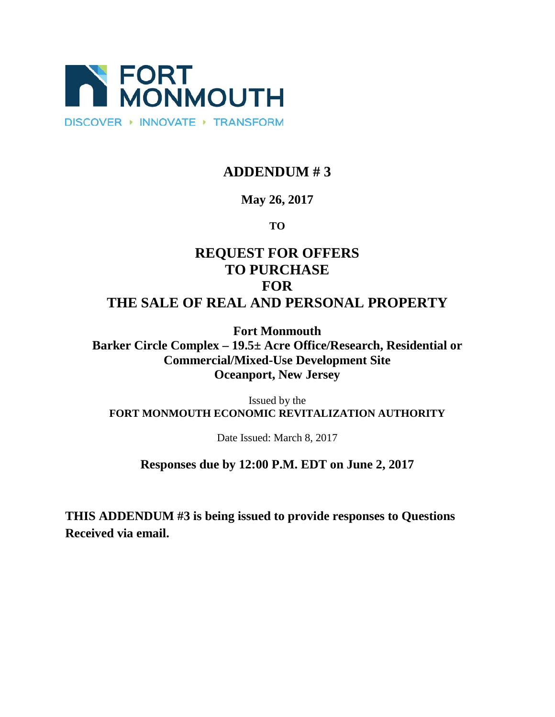

## **ADDENDUM # 3**

## **May 26, 2017**

### **TO**

# **REQUEST FOR OFFERS TO PURCHASE FOR THE SALE OF REAL AND PERSONAL PROPERTY**

**Fort Monmouth Barker Circle Complex – 19.5± Acre Office/Research, Residential or Commercial/Mixed-Use Development Site Oceanport, New Jersey**

Issued by the **FORT MONMOUTH ECONOMIC REVITALIZATION AUTHORITY**

Date Issued: March 8, 2017

## **Responses due by 12:00 P.M. EDT on June 2, 2017**

**THIS ADDENDUM #3 is being issued to provide responses to Questions Received via email.**